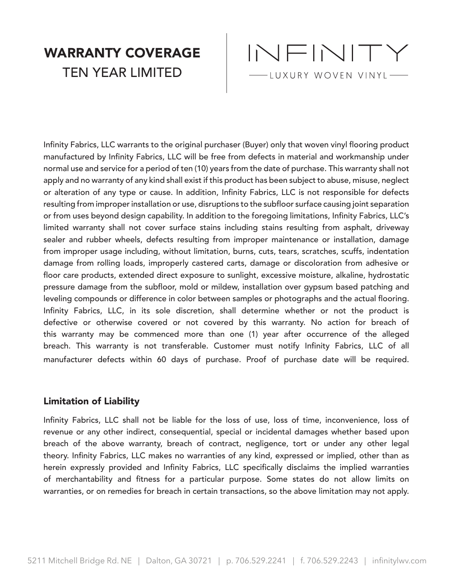## WARRANTY COVERAGE TEN YEAR LIMITED



Infinity Fabrics, LLC warrants to the original purchaser (Buyer) only that woven vinyl flooring product manufactured by Infinity Fabrics, LLC will be free from defects in material and workmanship under normal use and service for a period of ten (10) years from the date of purchase. This warranty shall not apply and no warranty of any kind shall exist if this product has been subject to abuse, misuse, neglect or alteration of any type or cause. In addition, Infinity Fabrics, LLC is not responsible for defects resulting from improper installation or use, disruptions to the subfloor surface causing joint separation or from uses beyond design capability. In addition to the foregoing limitations, Infinity Fabrics, LLC's limited warranty shall not cover surface stains including stains resulting from asphalt, driveway sealer and rubber wheels, defects resulting from improper maintenance or installation, damage from improper usage including, without limitation, burns, cuts, tears, scratches, scuffs, indentation damage from rolling loads, improperly castered carts, damage or discoloration from adhesive or floor care products, extended direct exposure to sunlight, excessive moisture, alkaline, hydrostatic pressure damage from the subfloor, mold or mildew, installation over gypsum based patching and leveling compounds or difference in color between samples or photographs and the actual flooring. Infinity Fabrics, LLC, in its sole discretion, shall determine whether or not the product is defective or otherwise covered or not covered by this warranty. No action for breach of this warranty may be commenced more than one (1) year after occurrence of the alleged breach. This warranty is not transferable. Customer must notify Infinity Fabrics, LLC of all manufacturer defects within 60 days of purchase. Proof of purchase date will be required.

## Limitation of Liability

Infinity Fabrics, LLC shall not be liable for the loss of use, loss of time, inconvenience, loss of revenue or any other indirect, consequential, special or incidental damages whether based upon breach of the above warranty, breach of contract, negligence, tort or under any other legal theory. Infinity Fabrics, LLC makes no warranties of any kind, expressed or implied, other than as herein expressly provided and Infinity Fabrics, LLC specifically disclaims the implied warranties of merchantability and fitness for a particular purpose. Some states do not allow limits on warranties, or on remedies for breach in certain transactions, so the above limitation may not apply.